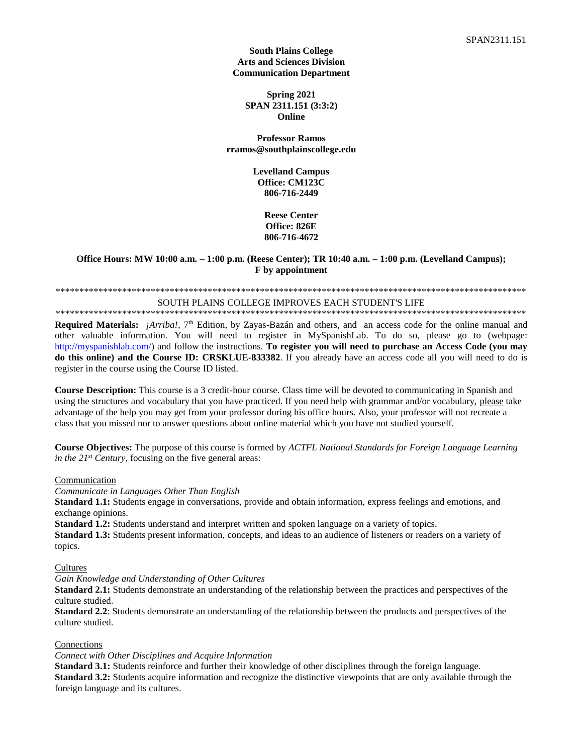#### **South Plains College Arts and Sciences Division Communication Department**

**Spring 2021 SPAN 2311.151 (3:3:2) Online**

**Professor Ramos rramos@southplainscollege.edu**

> **Levelland Campus Office: CM123C 806-716-2449**

> > **Reese Center Office: 826E 806-716-4672**

#### **Office Hours: MW 10:00 a.m. – 1:00 p.m. (Reese Center); TR 10:40 a.m. – 1:00 p.m. (Levelland Campus); F by appointment**

# \*\*\*\*\*\*\*\*\*\*\*\*\*\*\*\*\*\*\*\*\*\*\*\*\*\*\*\*\*\*\*\*\*\*\*\*\*\*\*\*\*\*\*\*\*\*\*\*\*\*\*\*\*\*\*\*\*\*\*\*\*\*\*\*\*\*\*\*\*\*\*\*\*\*\*\*\*\*\*\*\*\*\*\*\*\*\*\*\*\*\*\*\*\*\*\*\*\*\*

#### SOUTH PLAINS COLLEGE IMPROVES EACH STUDENT'S LIFE \*\*\*\*\*\*\*\*\*\*\*\*\*\*\*\*\*\*\*\*\*\*\*\*\*\*\*\*\*\*\*\*\*\*\*\*\*\*\*\*\*\*\*\*\*\*\*\*\*\*\*\*\*\*\*\*\*\*\*\*\*\*\*\*\*\*\*\*\*\*\*\*\*\*\*\*\*\*\*\*\*\*\*\*\*\*\*\*\*\*\*\*\*\*\*\*\*\*\*

**Required Materials:** *¡Arriba!*, 7<sup>th</sup> Edition, by Zayas-Bazán and others, and an access code for the online manual and other valuable information. You will need to register in MySpanishLab. To do so, please go to (webpage: http://myspanishlab.com/) and follow the instructions. **To register you will need to purchase an Access Code (you may do this online) and the Course ID: CRSKLUE-833382**. If you already have an access code all you will need to do is register in the course using the Course ID listed.

**Course Description:** This course is a 3 credit-hour course. Class time will be devoted to communicating in Spanish and using the structures and vocabulary that you have practiced. If you need help with grammar and/or vocabulary, please take advantage of the help you may get from your professor during his office hours. Also, your professor will not recreate a class that you missed nor to answer questions about online material which you have not studied yourself.

**Course Objectives:** The purpose of this course is formed by *ACTFL National Standards for Foreign Language Learning in the 21<sup>st</sup> Century*, focusing on the five general areas:

**Communication** 

*Communicate in Languages Other Than English*

**Standard 1.1:** Students engage in conversations, provide and obtain information, express feelings and emotions, and exchange opinions.

**Standard 1.2:** Students understand and interpret written and spoken language on a variety of topics.

**Standard 1.3:** Students present information, concepts, and ideas to an audience of listeners or readers on a variety of topics.

Cultures

*Gain Knowledge and Understanding of Other Cultures*

**Standard 2.1:** Students demonstrate an understanding of the relationship between the practices and perspectives of the culture studied.

**Standard 2.2**: Students demonstrate an understanding of the relationship between the products and perspectives of the culture studied.

### **Connections**

#### *Connect with Other Disciplines and Acquire Information*

**Standard 3.1:** Students reinforce and further their knowledge of other disciplines through the foreign language. **Standard 3.2:** Students acquire information and recognize the distinctive viewpoints that are only available through the foreign language and its cultures.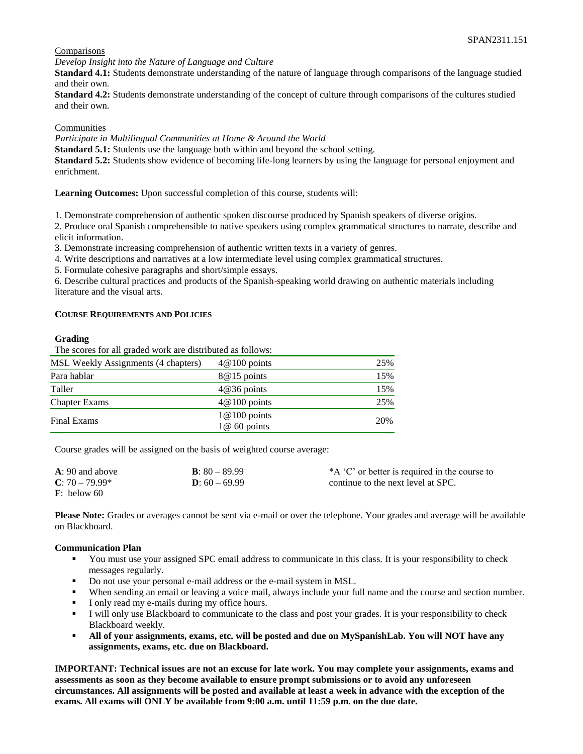### **Comparisons**

*Develop Insight into the Nature of Language and Culture*

**Standard 4.1:** Students demonstrate understanding of the nature of language through comparisons of the language studied and their own.

**Standard 4.2:** Students demonstrate understanding of the concept of culture through comparisons of the cultures studied and their own.

#### Communities

*Participate in Multilingual Communities at Home & Around the World*

**Standard 5.1:** Students use the language both within and beyond the school setting.

**Standard 5.2:** Students show evidence of becoming life-long learners by using the language for personal enjoyment and enrichment.

**Learning Outcomes:** Upon successful completion of this course, students will:

1. Demonstrate comprehension of authentic spoken discourse produced by Spanish speakers of diverse origins.

2. Produce oral Spanish comprehensible to native speakers using complex grammatical structures to narrate, describe and elicit information.

3. Demonstrate increasing comprehension of authentic written texts in a variety of genres.

4. Write descriptions and narratives at a low intermediate level using complex grammatical structures.

5. Formulate cohesive paragraphs and short/simple essays.

6. Describe cultural practices and products of the Spanish-speaking world drawing on authentic materials including literature and the visual arts.

#### **COURSE REQUIREMENTS AND POLICIES**

#### **Grading**

The scores for all graded work are distributed as follows:

| $4@100$ points                  | 25% |
|---------------------------------|-----|
| 8@15 points                     | 15% |
| $4@36$ points                   | 15% |
| $4@100$ points                  | 25% |
| $1@100$ points<br>$1@60$ points | 20% |
|                                 |     |

Course grades will be assigned on the basis of weighted course average:

| $A: 90$ and above       | <b>B</b> : $80 - 89.99$ | *A 'C' or better is required in the course to |
|-------------------------|-------------------------|-----------------------------------------------|
| $C: 70 - 79.99*$        | <b>D</b> : $60 - 69.99$ | continue to the next level at SPC.            |
| $\mathbf{F}$ : below 60 |                         |                                               |

**Please Note:** Grades or averages cannot be sent via e-mail or over the telephone. Your grades and average will be available on Blackboard.

#### **Communication Plan**

- You must use your assigned SPC email address to communicate in this class. It is your responsibility to check messages regularly.
- Do not use your personal e-mail address or the e-mail system in MSL.
- When sending an email or leaving a voice mail, always include your full name and the course and section number.
- **I** only read my e-mails during my office hours.
- I will only use Blackboard to communicate to the class and post your grades. It is your responsibility to check Blackboard weekly.
- **All of your assignments, exams, etc. will be posted and due on MySpanishLab. You will NOT have any assignments, exams, etc. due on Blackboard.**

**IMPORTANT: Technical issues are not an excuse for late work. You may complete your assignments, exams and assessments as soon as they become available to ensure prompt submissions or to avoid any unforeseen circumstances. All assignments will be posted and available at least a week in advance with the exception of the exams. All exams will ONLY be available from 9:00 a.m. until 11:59 p.m. on the due date.**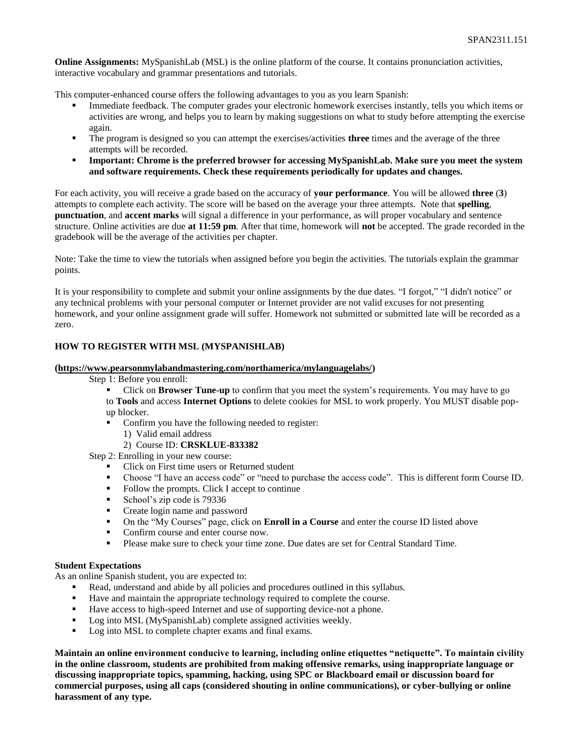**Online Assignments:** MySpanishLab (MSL) is the online platform of the course. It contains pronunciation activities, interactive vocabulary and grammar presentations and tutorials.

This computer-enhanced course offers the following advantages to you as you learn Spanish:

- Immediate feedback. The computer grades your electronic homework exercises instantly, tells you which items or activities are wrong, and helps you to learn by making suggestions on what to study before attempting the exercise again.
- The program is designed so you can attempt the exercises/activities **three** times and the average of the three attempts will be recorded.
- **•** Important: Chrome is the preferred browser for accessing MySpanishLab. Make sure you meet the system **and software requirements. Check these requirements periodically for updates and changes.**

For each activity, you will receive a grade based on the accuracy of **your performance**. You will be allowed **three** (**3**) attempts to complete each activity. The score will be based on the average your three attempts. Note that **spelling**, **punctuation**, and **accent marks** will signal a difference in your performance, as will proper vocabulary and sentence structure. Online activities are due **at 11:59 pm**. After that time, homework will **not** be accepted. The grade recorded in the gradebook will be the average of the activities per chapter.

Note: Take the time to view the tutorials when assigned before you begin the activities. The tutorials explain the grammar points.

It is your responsibility to complete and submit your online assignments by the due dates. "I forgot," "I didn't notice" or any technical problems with your personal computer or Internet provider are not valid excuses for not presenting homework, and your online assignment grade will suffer. Homework not submitted or submitted late will be recorded as a zero.

#### **HOW TO REGISTER WITH MSL (MYSPANISHLAB)**

#### **[\(https://www.pearsonmylabandmastering.com/northamerica/mylanguagelabs/\)](https://www.pearsonmylabandmastering.com/northamerica/mylanguagelabs/)**

Step 1: Before you enroll:

- Click on **Browser Tune-up** to confirm that you meet the system's requirements. You may have to go
- to **Tools** and access **Internet Options** to delete cookies for MSL to work properly. You MUST disable popup blocker.
- Confirm you have the following needed to register:
	- 1) Valid email address
	- 2) Course ID: **CRSKLUE-833382**

Step 2: Enrolling in your new course:

- Click on First time users or Returned student
- Choose "I have an access code" or "need to purchase the access code". This is different form Course ID. Follow the prompts. Click I accept to continue
- Follow the prompts. Click I accept to continue
- School's zip code is 79336
- Create login name and password
- On the "My Courses" page, click on **Enroll in a Course** and enter the course ID listed above
- Confirm course and enter course now.
- Please make sure to check your time zone. Due dates are set for Central Standard Time.

#### **Student Expectations**

As an online Spanish student, you are expected to:

- Read, understand and abide by all policies and procedures outlined in this syllabus.<br>■ Have and maintain the appropriate technology required to complete the course
- Have and maintain the appropriate technology required to complete the course.
- Have access to high-speed Internet and use of supporting device-not a phone.
- Log into MSL (MySpanishLab) complete assigned activities weekly.
- Log into MSL to complete chapter exams and final exams.

**Maintain an online environment conducive to learning, including online etiquettes "netiquette". To maintain civility in the online classroom, students are prohibited from making offensive remarks, using inappropriate language or discussing inappropriate topics, spamming, hacking, using SPC or Blackboard email or discussion board for commercial purposes, using all caps (considered shouting in online communications), or cyber-bullying or online harassment of any type.**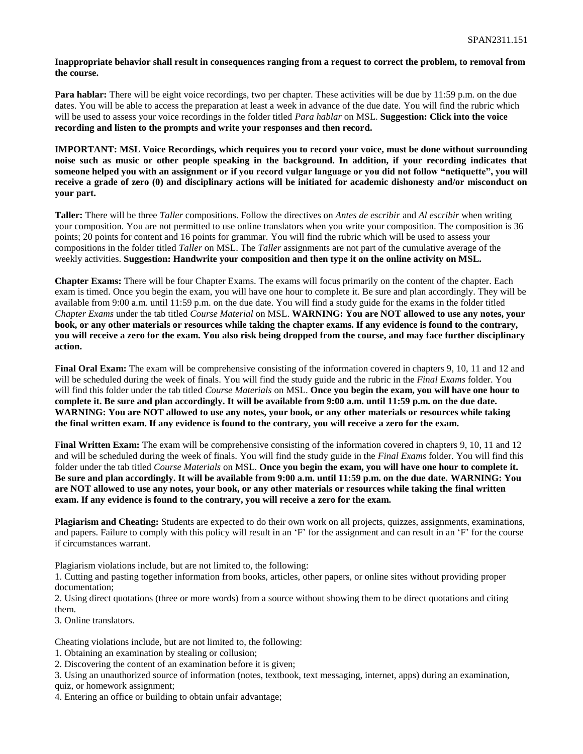#### **Inappropriate behavior shall result in consequences ranging from a request to correct the problem, to removal from the course.**

**Para hablar:** There will be eight voice recordings, two per chapter. These activities will be due by 11:59 p.m. on the due dates. You will be able to access the preparation at least a week in advance of the due date. You will find the rubric which will be used to assess your voice recordings in the folder titled *Para hablar* on MSL. **Suggestion: Click into the voice recording and listen to the prompts and write your responses and then record.** 

**IMPORTANT: MSL Voice Recordings, which requires you to record your voice, must be done without surrounding noise such as music or other people speaking in the background. In addition, if your recording indicates that someone helped you with an assignment or if you record vulgar language or you did not follow "netiquette", you will receive a grade of zero (0) and disciplinary actions will be initiated for academic dishonesty and/or misconduct on your part.**

**Taller:** There will be three *Taller* compositions. Follow the directives on *Antes de escribir* and *Al escribir* when writing your composition. You are not permitted to use online translators when you write your composition. The composition is 36 points; 20 points for content and 16 points for grammar. You will find the rubric which will be used to assess your compositions in the folder titled *Taller* on MSL. The *Taller* assignments are not part of the cumulative average of the weekly activities. **Suggestion: Handwrite your composition and then type it on the online activity on MSL.** 

**Chapter Exams:** There will be four Chapter Exams. The exams will focus primarily on the content of the chapter. Each exam is timed. Once you begin the exam, you will have one hour to complete it. Be sure and plan accordingly. They will be available from 9:00 a.m. until 11:59 p.m. on the due date. You will find a study guide for the exams in the folder titled *Chapter Exams* under the tab titled *Course Material* on MSL. **WARNING: You are NOT allowed to use any notes, your book, or any other materials or resources while taking the chapter exams. If any evidence is found to the contrary, you will receive a zero for the exam. You also risk being dropped from the course, and may face further disciplinary action.**

**Final Oral Exam:** The exam will be comprehensive consisting of the information covered in chapters 9, 10, 11 and 12 and will be scheduled during the week of finals. You will find the study guide and the rubric in the *Final Exams* folder. You will find this folder under the tab titled *Course Materials* on MSL. **Once you begin the exam, you will have one hour to complete it. Be sure and plan accordingly. It will be available from 9:00 a.m. until 11:59 p.m. on the due date. WARNING: You are NOT allowed to use any notes, your book, or any other materials or resources while taking the final written exam. If any evidence is found to the contrary, you will receive a zero for the exam.** 

**Final Written Exam:** The exam will be comprehensive consisting of the information covered in chapters 9, 10, 11 and 12 and will be scheduled during the week of finals. You will find the study guide in the *Final Exams* folder. You will find this folder under the tab titled *Course Materials* on MSL. **Once you begin the exam, you will have one hour to complete it. Be sure and plan accordingly. It will be available from 9:00 a.m. until 11:59 p.m. on the due date. WARNING: You are NOT allowed to use any notes, your book, or any other materials or resources while taking the final written exam. If any evidence is found to the contrary, you will receive a zero for the exam.** 

**Plagiarism and Cheating:** Students are expected to do their own work on all projects, quizzes, assignments, examinations, and papers. Failure to comply with this policy will result in an 'F' for the assignment and can result in an 'F' for the course if circumstances warrant.

Plagiarism violations include, but are not limited to, the following:

1. Cutting and pasting together information from books, articles, other papers, or online sites without providing proper documentation;

2. Using direct quotations (three or more words) from a source without showing them to be direct quotations and citing them.

3. Online translators.

Cheating violations include, but are not limited to, the following:

1. Obtaining an examination by stealing or collusion;

2. Discovering the content of an examination before it is given;

3. Using an unauthorized source of information (notes, textbook, text messaging, internet, apps) during an examination, quiz, or homework assignment;

4. Entering an office or building to obtain unfair advantage;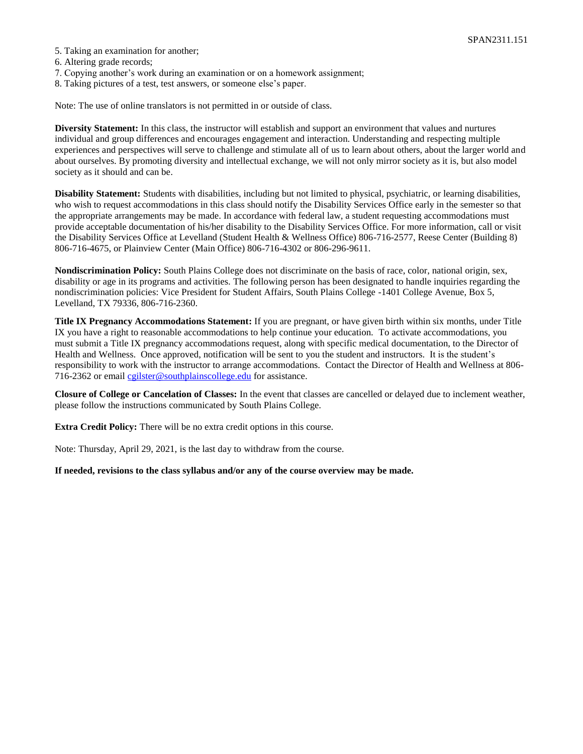- 5. Taking an examination for another;
- 6. Altering grade records;
- 7. Copying another's work during an examination or on a homework assignment;
- 8. Taking pictures of a test, test answers, or someone else's paper.

Note: The use of online translators is not permitted in or outside of class.

**Diversity Statement:** In this class, the instructor will establish and support an environment that values and nurtures individual and group differences and encourages engagement and interaction. Understanding and respecting multiple experiences and perspectives will serve to challenge and stimulate all of us to learn about others, about the larger world and about ourselves. By promoting diversity and intellectual exchange, we will not only mirror society as it is, but also model society as it should and can be.

**Disability Statement:** Students with disabilities, including but not limited to physical, psychiatric, or learning disabilities, who wish to request accommodations in this class should notify the Disability Services Office early in the semester so that the appropriate arrangements may be made. In accordance with federal law, a student requesting accommodations must provide acceptable documentation of his/her disability to the Disability Services Office. For more information, call or visit the Disability Services Office at Levelland (Student Health & Wellness Office) 806-716-2577, Reese Center (Building 8) 806-716-4675, or Plainview Center (Main Office) 806-716-4302 or 806-296-9611.

**Nondiscrimination Policy:** South Plains College does not discriminate on the basis of race, color, national origin, sex, disability or age in its programs and activities. The following person has been designated to handle inquiries regarding the nondiscrimination policies: Vice President for Student Affairs, South Plains College -1401 College Avenue, Box 5, Levelland, TX 79336, 806-716-2360.

**Title IX Pregnancy Accommodations Statement:** If you are pregnant, or have given birth within six months, under Title IX you have a right to reasonable accommodations to help continue your education. To activate accommodations, you must submit a Title IX pregnancy accommodations request, along with specific medical documentation, to the Director of Health and Wellness. Once approved, notification will be sent to you the student and instructors. It is the student's responsibility to work with the instructor to arrange accommodations. Contact the Director of Health and Wellness at 806- 716-2362 or email [cgilster@southplainscollege.edu](mailto:cgilster@southplainscollege.edu) for assistance.

**Closure of College or Cancelation of Classes:** In the event that classes are cancelled or delayed due to inclement weather, please follow the instructions communicated by South Plains College.

**Extra Credit Policy:** There will be no extra credit options in this course.

Note: Thursday, April 29, 2021, is the last day to withdraw from the course.

**If needed, revisions to the class syllabus and/or any of the course overview may be made.**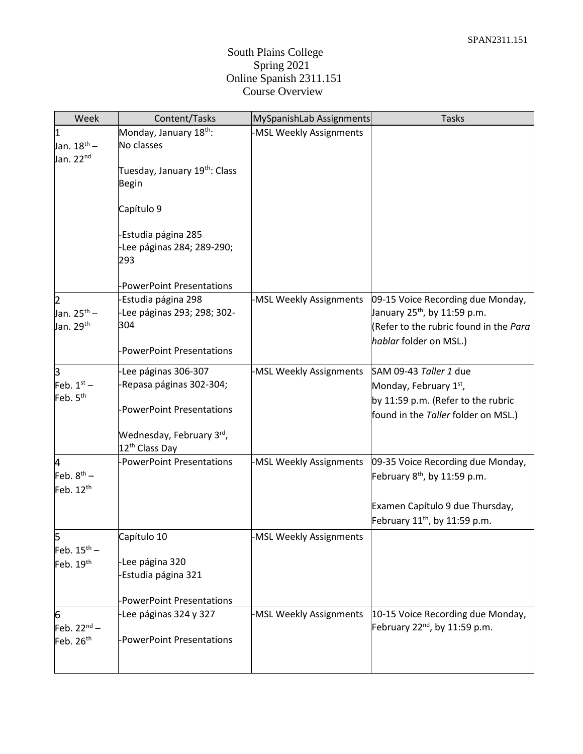## South Plains College Spring 2021 Online Spanish 2311.151 Course Overview

| Week                                                  | Content/Tasks                                                                                    | MySpanishLab Assignments | <b>Tasks</b>                                                                                                                                      |
|-------------------------------------------------------|--------------------------------------------------------------------------------------------------|--------------------------|---------------------------------------------------------------------------------------------------------------------------------------------------|
| 1<br>Jan. 18 <sup>th</sup> –<br>Jan. 22 <sup>nd</sup> | Monday, January 18 <sup>th</sup> :<br>No classes<br>Tuesday, January 19 <sup>th</sup> : Class    | -MSL Weekly Assignments  |                                                                                                                                                   |
|                                                       | <b>Begin</b>                                                                                     |                          |                                                                                                                                                   |
|                                                       | Capítulo 9                                                                                       |                          |                                                                                                                                                   |
|                                                       | Estudia página 285<br>-Lee páginas 284; 289-290;<br>293                                          |                          |                                                                                                                                                   |
|                                                       | <b>PowerPoint Presentations</b>                                                                  |                          |                                                                                                                                                   |
| 2<br>Jan. 25 <sup>th</sup> –<br>Jan. 29 <sup>th</sup> | -Estudia página 298<br>-Lee páginas 293; 298; 302-<br>304                                        | -MSL Weekly Assignments  | 09-15 Voice Recording due Monday,<br>January 25 <sup>th</sup> , by 11:59 p.m.<br>(Refer to the rubric found in the Para<br>hablar folder on MSL.) |
|                                                       | -PowerPoint Presentations                                                                        |                          |                                                                                                                                                   |
| З<br>Feb. $1st$ –<br>Feb. 5 <sup>th</sup>             | -Lee páginas 306-307<br>Repasa páginas 302-304;                                                  | -MSL Weekly Assignments  | SAM 09-43 Taller 1 due<br>Monday, February 1st,<br>by 11:59 p.m. (Refer to the rubric                                                             |
|                                                       | -PowerPoint Presentations<br>Wednesday, February 3 <sup>rd</sup> ,<br>12 <sup>th</sup> Class Day |                          | found in the Taller folder on MSL.)                                                                                                               |
| 4<br>Feb. $8^{th}$ –<br>Feb. $12th$                   | -PowerPoint Presentations                                                                        | -MSL Weekly Assignments  | 09-35 Voice Recording due Monday,<br>February 8 <sup>th</sup> , by 11:59 p.m.                                                                     |
|                                                       |                                                                                                  |                          | Examen Capítulo 9 due Thursday,<br>February 11 <sup>th</sup> , by 11:59 p.m.                                                                      |
| 5<br>Feb. $15^{th}$ –                                 | Capítulo 10                                                                                      | -MSL Weekly Assignments  |                                                                                                                                                   |
| Feb. 19th                                             | -Lee página 320<br>Estudia página 321<br><b>PowerPoint Presentations</b>                         |                          |                                                                                                                                                   |
| 6<br>Feb. $22^{nd}$ –<br>Feb. 26 <sup>th</sup>        | -Lee páginas 324 y 327<br>-PowerPoint Presentations                                              | -MSL Weekly Assignments  | 10-15 Voice Recording due Monday,<br>February $22^{nd}$ , by 11:59 p.m.                                                                           |
|                                                       |                                                                                                  |                          |                                                                                                                                                   |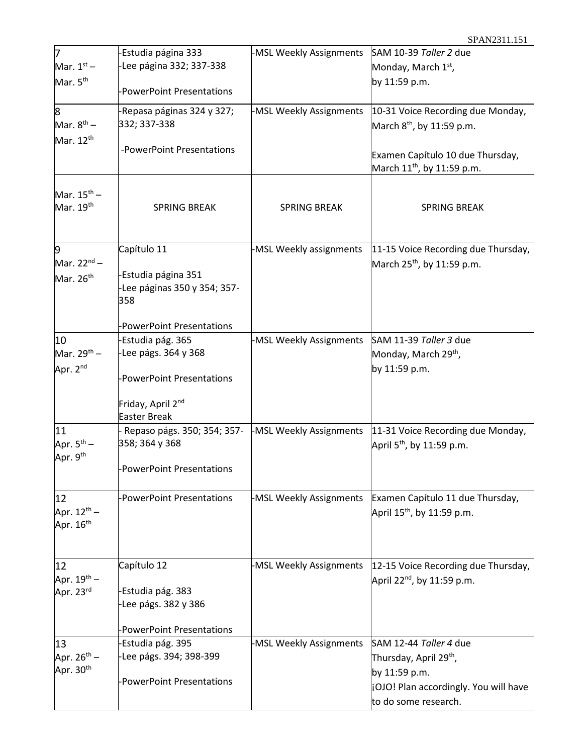| 7                                                | Estudia página 333                                        | -MSL Weekly Assignments | SAM 10-39 Taller 2 due                                                         |
|--------------------------------------------------|-----------------------------------------------------------|-------------------------|--------------------------------------------------------------------------------|
| Mar. $1st$ –                                     | -Lee página 332; 337-338                                  |                         | Monday, March 1 <sup>st</sup> ,                                                |
| Mar. 5 <sup>th</sup>                             | <b>PowerPoint Presentations</b>                           |                         | by 11:59 p.m.                                                                  |
| 8                                                | -Repasa páginas 324 y 327;                                | -MSL Weekly Assignments | 10-31 Voice Recording due Monday,                                              |
| Mar. $8^{th}$ –                                  | 332; 337-338                                              |                         | March 8 <sup>th</sup> , by 11:59 p.m.                                          |
| Mar. 12 <sup>th</sup>                            | -PowerPoint Presentations                                 |                         | Examen Capítulo 10 due Thursday,<br>March 11 <sup>th</sup> , by 11:59 p.m.     |
| Mar. $15^{\text{th}}$ –<br>Mar. $19th$           | <b>SPRING BREAK</b>                                       | <b>SPRING BREAK</b>     | <b>SPRING BREAK</b>                                                            |
| 9<br>Mar. $22^{nd}$ –                            | Capítulo 11                                               | -MSL Weekly assignments | 11-15 Voice Recording due Thursday,<br>March 25 <sup>th</sup> , by 11:59 p.m.  |
| Mar. 26 <sup>th</sup>                            | Estudia página 351<br>-Lee páginas 350 y 354; 357-<br>358 |                         |                                                                                |
|                                                  | <b>PowerPoint Presentations</b>                           |                         |                                                                                |
| 10                                               | Estudia pág. 365                                          | -MSL Weekly Assignments | SAM 11-39 Taller 3 due                                                         |
| Mar. $29^{th}$ –                                 | -Lee págs. 364 y 368                                      |                         | Monday, March 29 <sup>th</sup> ,                                               |
| Apr. 2 <sup>nd</sup>                             | <b>PowerPoint Presentations</b>                           |                         | by 11:59 p.m.                                                                  |
|                                                  | Friday, April 2 <sup>nd</sup><br><b>Easter Break</b>      |                         |                                                                                |
| 11                                               | Repaso págs. 350; 354; 357-                               | -MSL Weekly Assignments | 11-31 Voice Recording due Monday,                                              |
| Apr. $5^{th}$ –<br>Apr. 9th                      | 358; 364 y 368                                            |                         | April 5 <sup>th</sup> , by 11:59 p.m.                                          |
|                                                  | PowerPoint Presentations                                  |                         |                                                                                |
| 12                                               | <b>PowerPoint Presentations</b>                           | -MSL Weekly Assignments | Examen Capítulo 11 due Thursday,                                               |
| Apr. 12 <sup>th</sup> –<br>Apr. 16 <sup>th</sup> |                                                           |                         | April 15 <sup>th</sup> , by 11:59 p.m.                                         |
| 12                                               | Capítulo 12                                               | -MSL Weekly Assignments | 12-15 Voice Recording due Thursday,                                            |
| Apr. $19^{th}$ –<br>Apr. 23rd                    | Estudia pág. 383<br>Lee págs. 382 y 386                   |                         | April 22 <sup>nd</sup> , by 11:59 p.m.                                         |
|                                                  | <b>PowerPoint Presentations</b>                           |                         |                                                                                |
| 13                                               | Estudia pág. 395                                          | -MSL Weekly Assignments | SAM 12-44 Taller 4 due                                                         |
| Apr. $26^{th} -$                                 | -Lee págs. 394; 398-399                                   |                         | Thursday, April 29 <sup>th</sup> ,                                             |
| Apr. 30 <sup>th</sup>                            | <b>PowerPoint Presentations</b>                           |                         | by 11:59 p.m.<br>¡OJO! Plan accordingly. You will have<br>to do some research. |